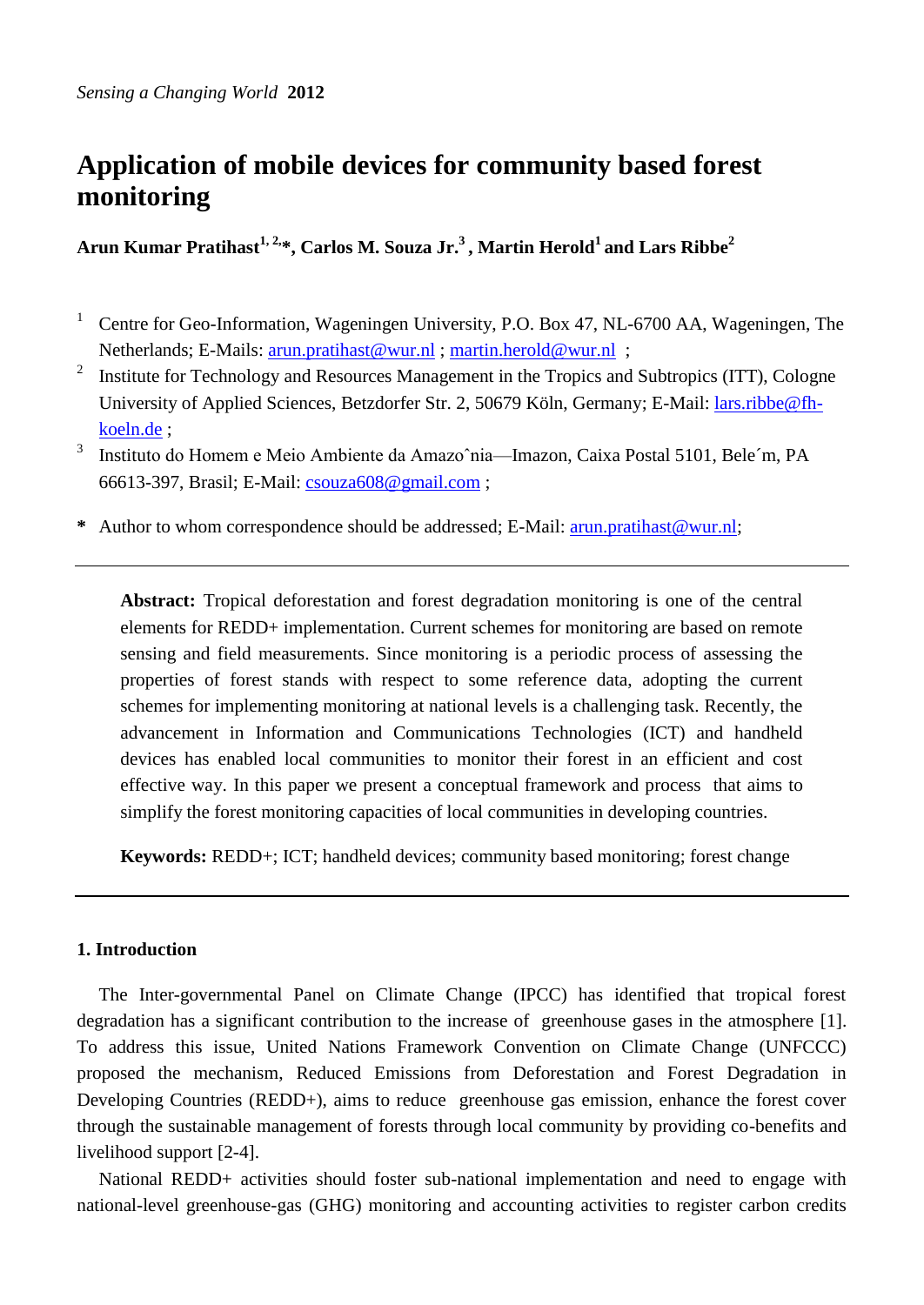# **Application of mobile devices for community based forest monitoring**

**Arun Kumar Pratihast1, 2,\*, Carlos M. Souza Jr.<sup>3</sup>, Martin Herold<sup>1</sup> and Lars Ribbe<sup>2</sup>**

- <sup>1</sup> Centre for Geo-Information, Wageningen University, P.O. Box 47, NL-6700 AA, Wageningen, The Netherlands; E-Mails: [arun.pratihast@wur.nl](mailto:arun.pratihast@wur.nl) ; [martin.herold@wur.nl](mailto:martin.herold@wur.nl) ;
- 2 Institute for Technology and Resources Management in the Tropics and Subtropics (ITT), Cologne University of Applied Sciences, Betzdorfer Str. 2, 50679 Köln, Germany; E-Mail: [lars.ribbe@fh](mailto:lars.ribbe@fh-koeln.de)[koeln.de](mailto:lars.ribbe@fh-koeln.de) ;
- 3 Instituto do Homem e Meio Ambiente da Amazoˆnia—Imazon, Caixa Postal 5101, Bele´m, PA 66613-397, Brasil; E-Mail: [csouza608@gmail.com](mailto:csouza608@gmail.com) ;
- **\*** Author to whom correspondence should be addressed; E-Mail: [arun.pratihast@wur.nl;](mailto:arun.pratihast@wur.nl)

**Abstract:** Tropical deforestation and forest degradation monitoring is one of the central elements for REDD+ implementation. Current schemes for monitoring are based on remote sensing and field measurements. Since monitoring is a periodic process of assessing the properties of forest stands with respect to some reference data, adopting the current schemes for implementing monitoring at national levels is a challenging task. Recently, the advancement in Information and Communications Technologies (ICT) and handheld devices has enabled local communities to monitor their forest in an efficient and cost effective way. In this paper we present a conceptual framework and process that aims to simplify the forest monitoring capacities of local communities in developing countries.

**Keywords:** REDD+; ICT; handheld devices; community based monitoring; forest change

# **1. Introduction**

The Inter-governmental Panel on Climate Change (IPCC) has identified that tropical forest degradation has a significant contribution to the increase of greenhouse gases in the atmosphere [\[1\]](#page-4-0). To address this issue, United Nations Framework Convention on Climate Change (UNFCCC) proposed the mechanism, Reduced Emissions from Deforestation and Forest Degradation in Developing Countries (REDD+), aims to reduce greenhouse gas emission, enhance the forest cover through the sustainable management of forests through local community by providing co-benefits and livelihood support [\[2-4\]](#page-4-1).

National REDD+ activities should foster sub-national implementation and need to engage with national-level greenhouse-gas (GHG) monitoring and accounting activities to register carbon credits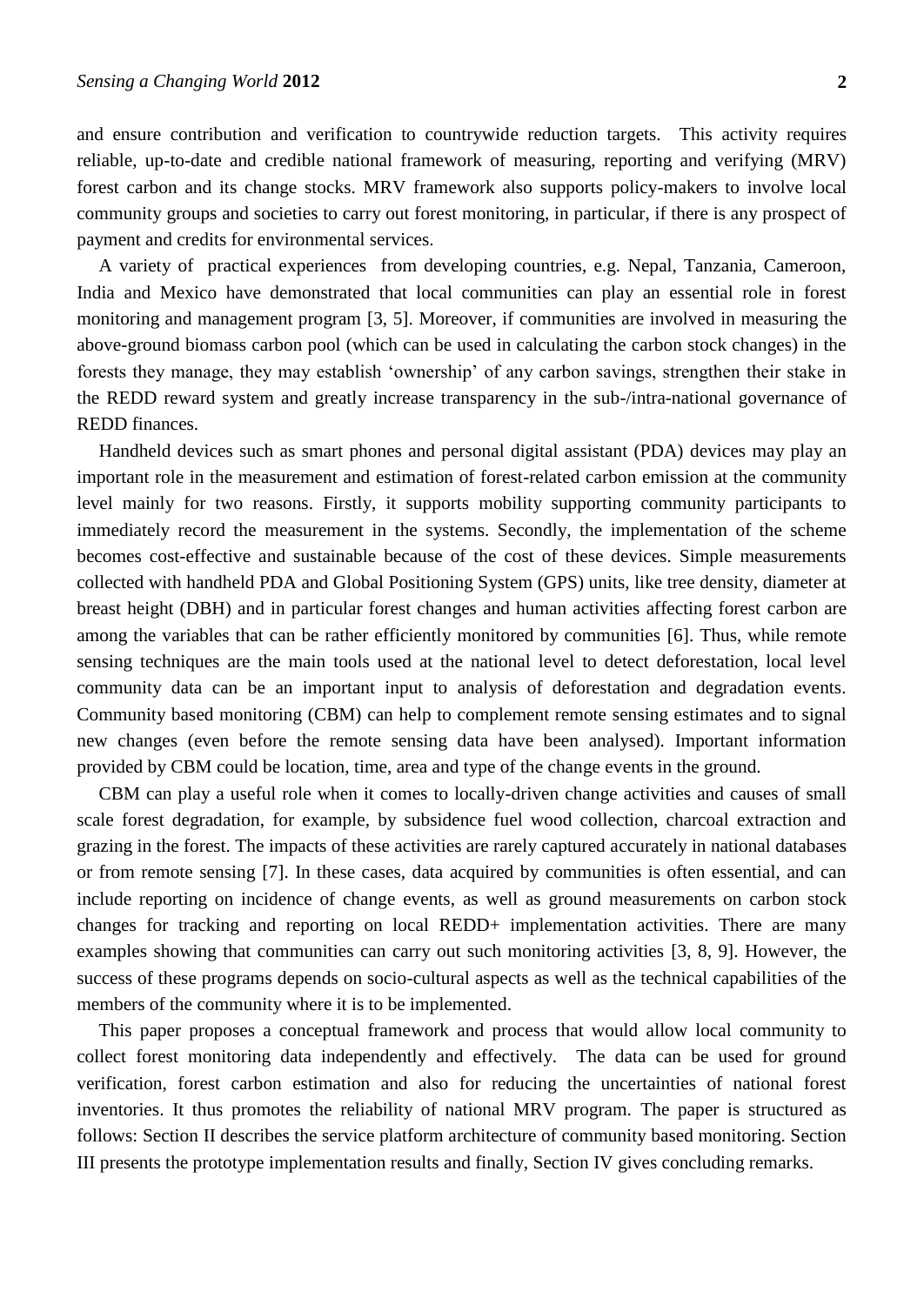and ensure contribution and verification to countrywide reduction targets. This activity requires reliable, up-to-date and credible national framework of measuring, reporting and verifying (MRV) forest carbon and its change stocks. MRV framework also supports policy-makers to involve local community groups and societies to carry out forest monitoring, in particular, if there is any prospect of payment and credits for environmental services.

A variety of practical experiences from developing countries, e.g. Nepal, Tanzania, Cameroon, India and Mexico have demonstrated that local communities can play an essential role in forest monitoring and management program [\[3,](#page-4-2) [5\]](#page-5-0). Moreover, if communities are involved in measuring the above-ground biomass carbon pool (which can be used in calculating the carbon stock changes) in the forests they manage, they may establish 'ownership' of any carbon savings, strengthen their stake in the REDD reward system and greatly increase transparency in the sub-/intra-national governance of REDD finances.

Handheld devices such as smart phones and personal digital assistant (PDA) devices may play an important role in the measurement and estimation of forest-related carbon emission at the community level mainly for two reasons. Firstly, it supports mobility supporting community participants to immediately record the measurement in the systems. Secondly, the implementation of the scheme becomes cost-effective and sustainable because of the cost of these devices. Simple measurements collected with handheld PDA and Global Positioning System (GPS) units, like tree density, diameter at breast height (DBH) and in particular forest changes and human activities affecting forest carbon are among the variables that can be rather efficiently monitored by communities [\[6\]](#page-5-1). Thus, while remote sensing techniques are the main tools used at the national level to detect deforestation, local level community data can be an important input to analysis of deforestation and degradation events. Community based monitoring (CBM) can help to complement remote sensing estimates and to signal new changes (even before the remote sensing data have been analysed). Important information provided by CBM could be location, time, area and type of the change events in the ground.

CBM can play a useful role when it comes to locally-driven change activities and causes of small scale forest degradation, for example, by subsidence fuel wood collection, charcoal extraction and grazing in the forest. The impacts of these activities are rarely captured accurately in national databases or from remote sensing [\[7\]](#page-5-2). In these cases, data acquired by communities is often essential, and can include reporting on incidence of change events, as well as ground measurements on carbon stock changes for tracking and reporting on local REDD+ implementation activities. There are many examples showing that communities can carry out such monitoring activities [\[3,](#page-4-2) [8,](#page-5-3) [9\]](#page-5-4). However, the success of these programs depends on socio-cultural aspects as well as the technical capabilities of the members of the community where it is to be implemented.

This paper proposes a conceptual framework and process that would allow local community to collect forest monitoring data independently and effectively. The data can be used for ground verification, forest carbon estimation and also for reducing the uncertainties of national forest inventories. It thus promotes the reliability of national MRV program. The paper is structured as follows: Section II describes the service platform architecture of community based monitoring. Section III presents the prototype implementation results and finally, Section IV gives concluding remarks.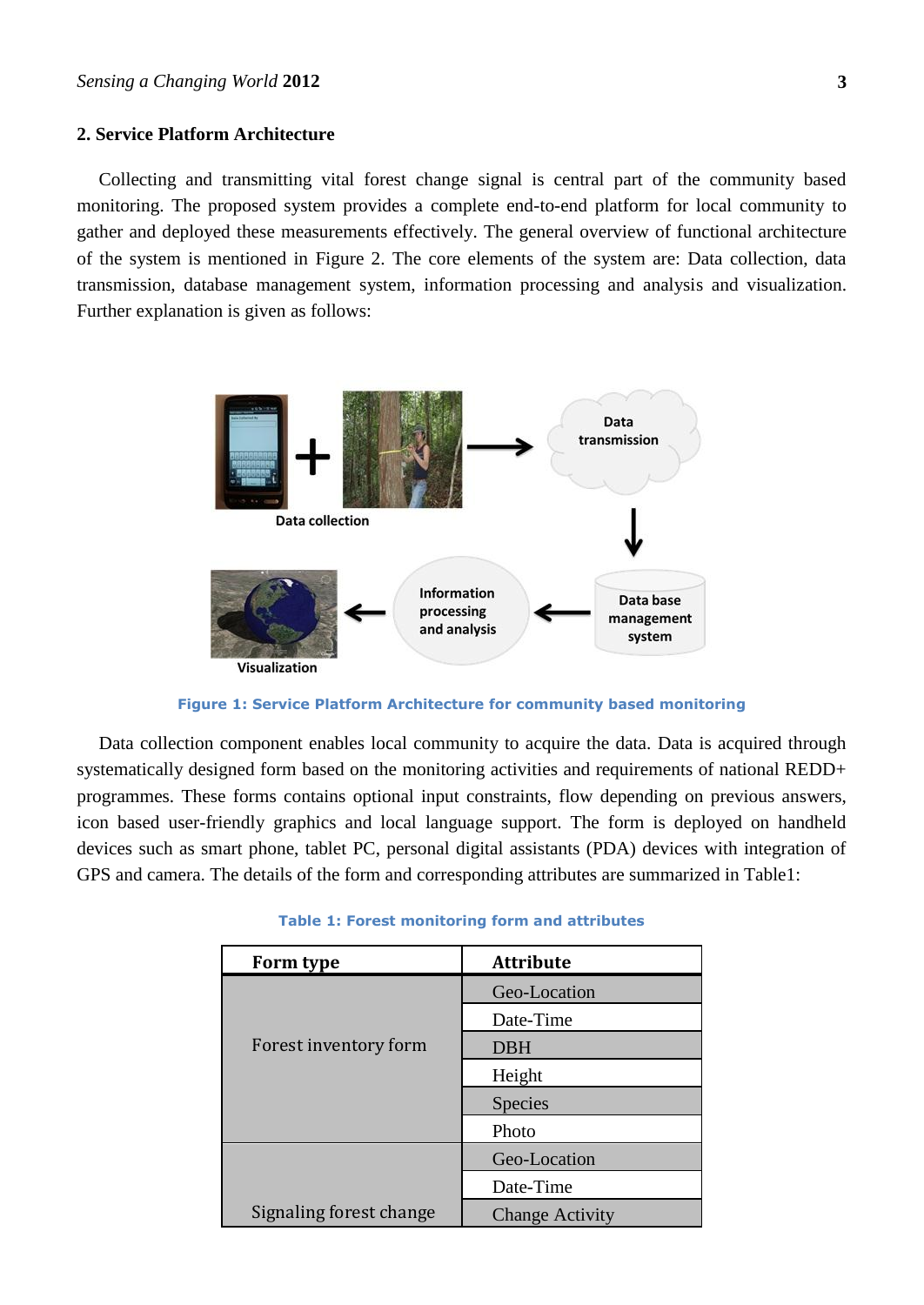### **2. Service Platform Architecture**

Collecting and transmitting vital forest change signal is central part of the community based monitoring. The proposed system provides a complete end-to-end platform for local community to gather and deployed these measurements effectively. The general overview of functional architecture of the system is mentioned in Figure 2. The core elements of the system are: Data collection, data transmission, database management system, information processing and analysis and visualization. Further explanation is given as follows:



**Figure 1: Service Platform Architecture for community based monitoring**

Data collection component enables local community to acquire the data. Data is acquired through systematically designed form based on the monitoring activities and requirements of national REDD+ programmes. These forms contains optional input constraints, flow depending on previous answers, icon based user-friendly graphics and local language support. The form is deployed on handheld devices such as smart phone, tablet PC, personal digital assistants (PDA) devices with integration of GPS and camera. The details of the form and corresponding attributes are summarized in Table1:

| Form type               | <b>Attribute</b>       |
|-------------------------|------------------------|
|                         | Geo-Location           |
|                         | Date-Time              |
| Forest inventory form   | <b>DBH</b>             |
|                         | Height                 |
|                         | <b>Species</b>         |
|                         | Photo                  |
|                         | Geo-Location           |
|                         | Date-Time              |
| Signaling forest change | <b>Change Activity</b> |

|  |  | <b>Table 1: Forest monitoring form and attributes</b> |  |  |  |
|--|--|-------------------------------------------------------|--|--|--|
|--|--|-------------------------------------------------------|--|--|--|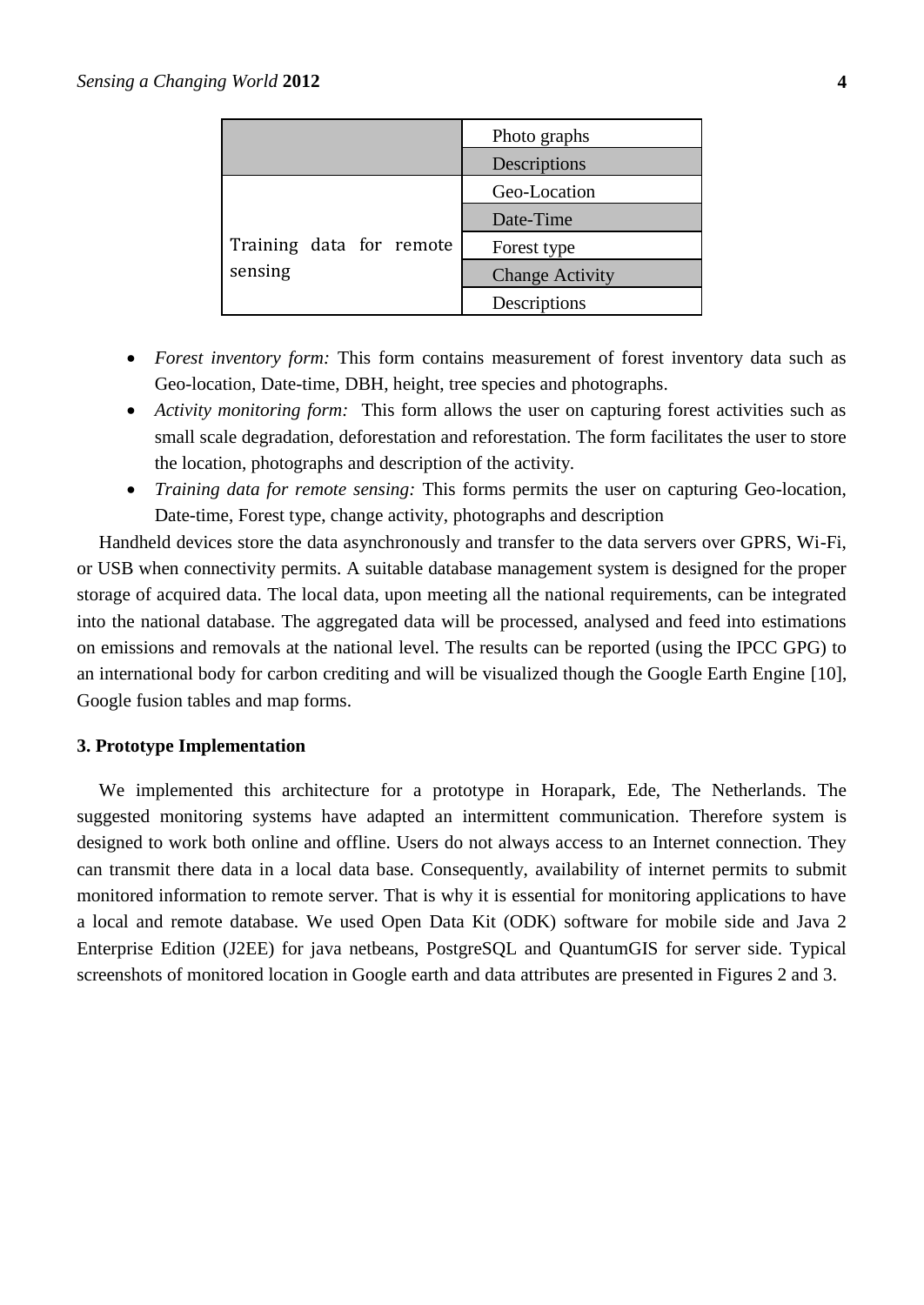|                                     | Photo graphs           |  |  |
|-------------------------------------|------------------------|--|--|
|                                     | Descriptions           |  |  |
| Training data for remote<br>sensing | Geo-Location           |  |  |
|                                     | Date-Time              |  |  |
|                                     | Forest type            |  |  |
|                                     | <b>Change Activity</b> |  |  |
|                                     | Descriptions           |  |  |

- *Forest inventory form:* This form contains measurement of forest inventory data such as Geo-location, Date-time, DBH, height, tree species and photographs.
- *Activity monitoring form:* This form allows the user on capturing forest activities such as small scale degradation, deforestation and reforestation. The form facilitates the user to store the location, photographs and description of the activity.
- *Training data for remote sensing:* This forms permits the user on capturing Geo-location, Date-time, Forest type, change activity, photographs and description

Handheld devices store the data asynchronously and transfer to the data servers over GPRS, Wi-Fi, or USB when connectivity permits. A suitable database management system is designed for the proper storage of acquired data. The local data, upon meeting all the national requirements, can be integrated into the national database. The aggregated data will be processed, analysed and feed into estimations on emissions and removals at the national level. The results can be reported (using the IPCC GPG) to an international body for carbon crediting and will be visualized though the Google Earth Engine [\[10\]](#page-5-5), Google fusion tables and map forms.

#### **3. Prototype Implementation**

We implemented this architecture for a prototype in [Horapark, Ede, The Netherlands.](http://maps.google.com/maps?hl=en&bav=on.2,or.r_gc.r_pw.r_qf.,cf.osb&biw=1600&bih=799&q=horapark+ede,+wageningen&um=1&ie=UTF-8&hq=&hnear=0x47c7ad2255676df3:0x98cf8976b399468f,Horapark,+Ede,+The+Netherlands&ei=gZI-T7ufM4mG-wan7t3hBQ&sa=X&oi=geocode_result&ct=title&resnum=1&ved=0CB4Q8gEwAA) The suggested monitoring systems have adapted an intermittent communication. Therefore system is designed to work both online and offline. Users do not always access to an Internet connection. They can transmit there data in a local data base. Consequently, availability of internet permits to submit monitored information to remote server. That is why it is essential for monitoring applications to have a local and remote database. We used Open Data Kit (ODK) software for mobile side and Java 2 Enterprise Edition (J2EE) for java netbeans, PostgreSQL and QuantumGIS for server side. Typical screenshots of monitored location in Google earth and data attributes are presented in Figures 2 and 3.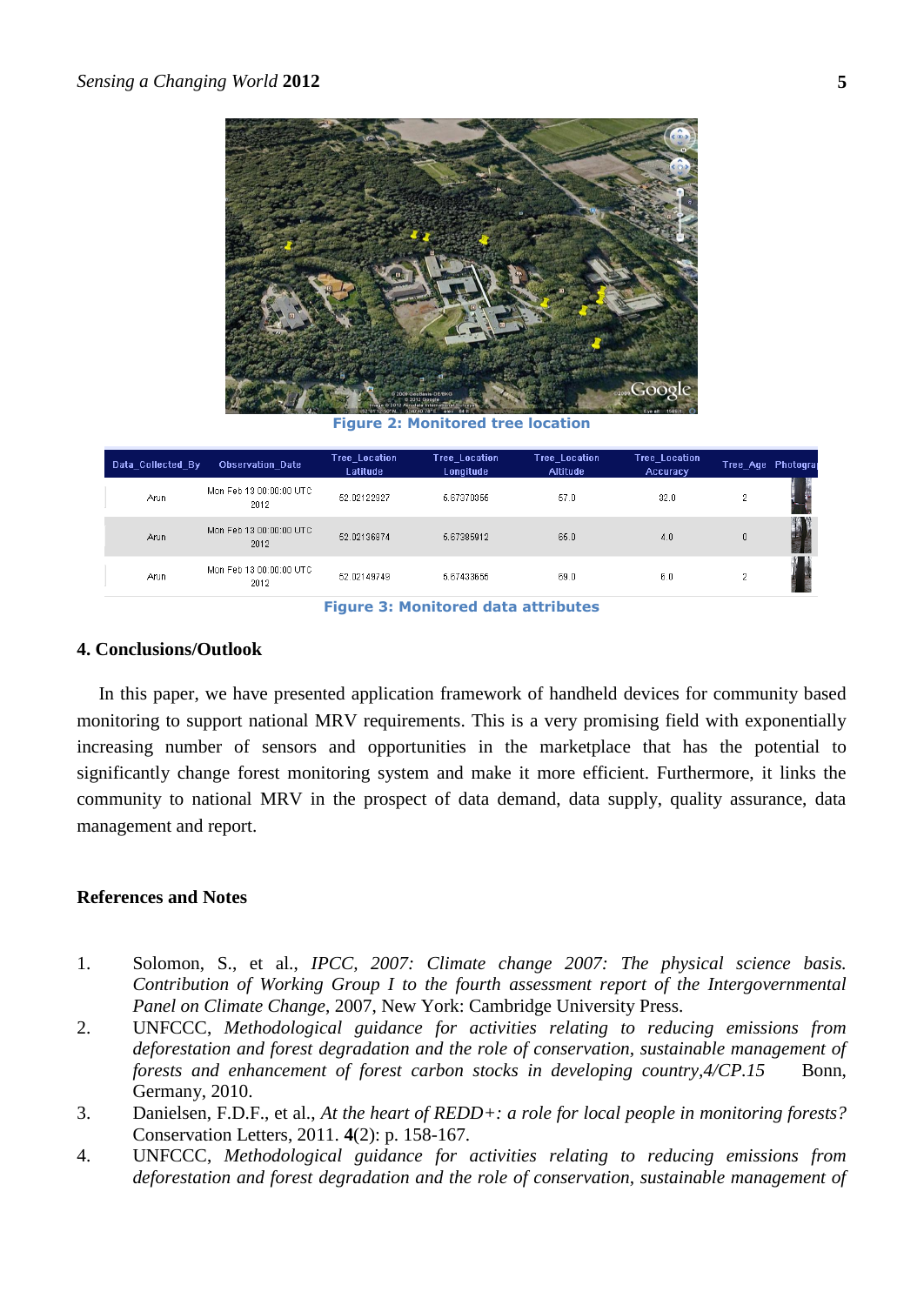

**Figure 2: Monitored tree location**

| Data Collected By | <b>Observation Date</b>         | Tree_Location<br>Latitude | Tree_Location_<br>Longitude | <b>Tree_Location</b><br><b>Altitude</b> | <b>Tree Location</b><br>Accuracy | Tree_Age Photograj |  |
|-------------------|---------------------------------|---------------------------|-----------------------------|-----------------------------------------|----------------------------------|--------------------|--|
| Arun              | Mon Feb 13 00:00:00 UTC<br>2012 | 52.02122927               | 5.67370355                  | 57.0                                    | 32.0                             | 0.                 |  |
| Arun              | Mon Feb 13 00:00:00 UTC<br>2012 | 52.02136874               | 5.67385912                  | 65.0                                    | 4.0                              | 0                  |  |
| Arun              | Mon Feb 13 00:00:00 UTC<br>2012 | 52.02149749               | 5.67433655                  | 69.0                                    | 6.0                              | o                  |  |

**Figure 3: Monitored data attributes**

#### **4. Conclusions/Outlook**

In this paper, we have presented application framework of handheld devices for community based monitoring to support national MRV requirements. This is a very promising field with exponentially increasing number of sensors and opportunities in the marketplace that has the potential to significantly change forest monitoring system and make it more efficient. Furthermore, it links the community to national MRV in the prospect of data demand, data supply, quality assurance, data management and report.

## **References and Notes**

- <span id="page-4-0"></span>1. Solomon, S., et al., *IPCC, 2007: Climate change 2007: The physical science basis. Contribution of Working Group I to the fourth assessment report of the Intergovernmental Panel on Climate Change*, 2007, New York: Cambridge University Press.
- <span id="page-4-1"></span>2. UNFCCC, *Methodological guidance for activities relating to reducing emissions from deforestation and forest degradation and the role of conservation, sustainable management of forests and enhancement of forest carbon stocks in developing country, 4/CP.15* Bonn, Germany, 2010.
- <span id="page-4-2"></span>3. Danielsen, F.D.F., et al., *At the heart of REDD+: a role for local people in monitoring forests?* Conservation Letters, 2011. **4**(2): p. 158-167.
- 4. UNFCCC, *Methodological guidance for activities relating to reducing emissions from deforestation and forest degradation and the role of conservation, sustainable management of*